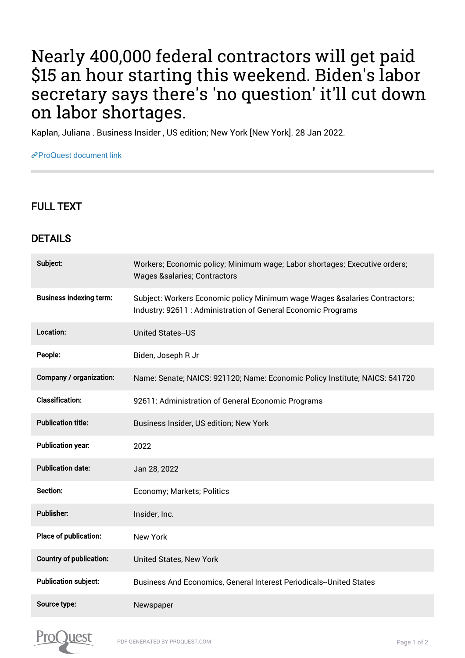## Nearly 400,000 federal contractors will get paid \$15 an hour starting this weekend. Biden's labor secretary says there's 'no question' it'll cut down on labor shortages.

Kaplan, Juliana . Business Insider , US edition; New York [New York]. 28 Jan 2022.

[ProQuest document link](https://www.proquest.com/newspapers/nearly-400-000-federal-contractors-will-get-paid/docview/2623458987/se-2?accountid=44910)

## FULL TEXT

## DETAILS

| Subject:                       | Workers; Economic policy; Minimum wage; Labor shortages; Executive orders;<br><b>Wages &amp;salaries Contractors</b>                         |
|--------------------------------|----------------------------------------------------------------------------------------------------------------------------------------------|
| <b>Business indexing term:</b> | Subject: Workers Economic policy Minimum wage Wages & salaries Contractors;<br>Industry: 92611 : Administration of General Economic Programs |
| Location:                      | <b>United States--US</b>                                                                                                                     |
| People:                        | Biden, Joseph R Jr                                                                                                                           |
| Company / organization:        | Name: Senate; NAICS: 921120; Name: Economic Policy Institute; NAICS: 541720                                                                  |
| <b>Classification:</b>         | 92611: Administration of General Economic Programs                                                                                           |
| <b>Publication title:</b>      | Business Insider, US edition; New York                                                                                                       |
| <b>Publication year:</b>       | 2022                                                                                                                                         |
| <b>Publication date:</b>       | Jan 28, 2022                                                                                                                                 |
| Section:                       | Economy; Markets; Politics                                                                                                                   |
| <b>Publisher:</b>              | Insider, Inc.                                                                                                                                |
| Place of publication:          | <b>New York</b>                                                                                                                              |
| <b>Country of publication:</b> | United States, New York                                                                                                                      |
| <b>Publication subject:</b>    | Business And Economics, General Interest Periodicals--United States                                                                          |
| Source type:                   | Newspaper                                                                                                                                    |